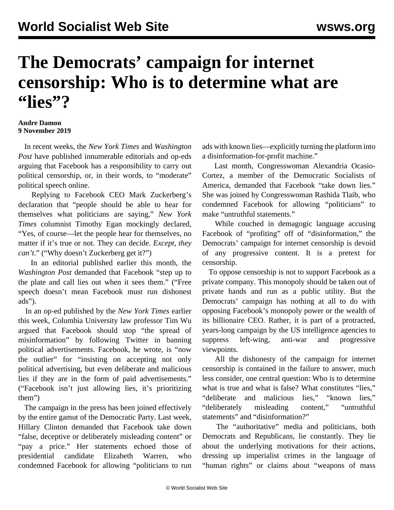## **The Democrats' campaign for internet censorship: Who is to determine what are "lies"?**

## **Andre Damon 9 November 2019**

 In recent weeks, the *New York Times* and *Washington Post* have published innumerable editorials and op-eds arguing that Facebook has a responsibility to carry out political censorship, or, in their words, to "moderate" political speech online.

 Replying to Facebook CEO Mark Zuckerberg's declaration that "people should be able to hear for themselves what politicians are saying," *New York Times* columnist Timothy Egan mockingly declared, "Yes, of course—let the people hear for themselves, no matter if it's true or not. They can decide. *Except, they can't*." ("Why doesn't Zuckerberg get it?")

 In an editorial published earlier this month, the *Washington Post* demanded that Facebook "step up to the plate and call lies out when it sees them." ("Free speech doesn't mean Facebook must run dishonest ads").

 In an op-ed published by the *New York Times* earlier this week, Columbia University law professor Tim Wu argued that Facebook should stop "the spread of misinformation" by following Twitter in banning political advertisements. Facebook, he wrote, is "now the outlier" for "insisting on accepting not only political advertising, but even deliberate and malicious lies if they are in the form of paid advertisements." ("Facebook isn't just allowing lies, it's prioritizing them")

 The campaign in the press has been joined effectively by the entire gamut of the Democratic Party. Last week, Hillary Clinton demanded that Facebook take down "false, deceptive or deliberately misleading content" or "pay a price." Her statements echoed those of presidential candidate Elizabeth Warren, who condemned Facebook for allowing "politicians to run

ads with known lies—explicitly turning the platform into a disinformation-for-profit machine."

 Last month, Congresswoman Alexandria Ocasio-Cortez, a member of the Democratic Socialists of America, demanded that Facebook "take down lies." She was joined by Congresswoman Rashida Tlaib, who condemned Facebook for allowing "politicians" to make "untruthful statements."

 While couched in demagogic language accusing Facebook of "profiting" off of "disinformation," the Democrats' campaign for internet censorship is devoid of any progressive content. It is a pretext for censorship.

 To oppose censorship is not to support Facebook as a private company. This monopoly should be taken out of private hands and run as a public utility. But the Democrats' campaign has nothing at all to do with opposing Facebook's monopoly power or the wealth of its billionaire CEO. Rather, it is part of a protracted, years-long campaign by the US intelligence agencies to suppress left-wing, anti-war and progressive viewpoints.

 All the dishonesty of the campaign for internet censorship is contained in the failure to answer, much less consider, one central question: Who is to determine what is true and what is false? What constitutes "lies," "deliberate and malicious lies," "known lies," "deliberately misleading content," "untruthful statements" and "disinformation?"

 The "authoritative" media and politicians, both Democrats and Republicans, lie constantly. They lie about the underlying motivations for their actions, dressing up imperialist crimes in the language of "human rights" or claims about "weapons of mass